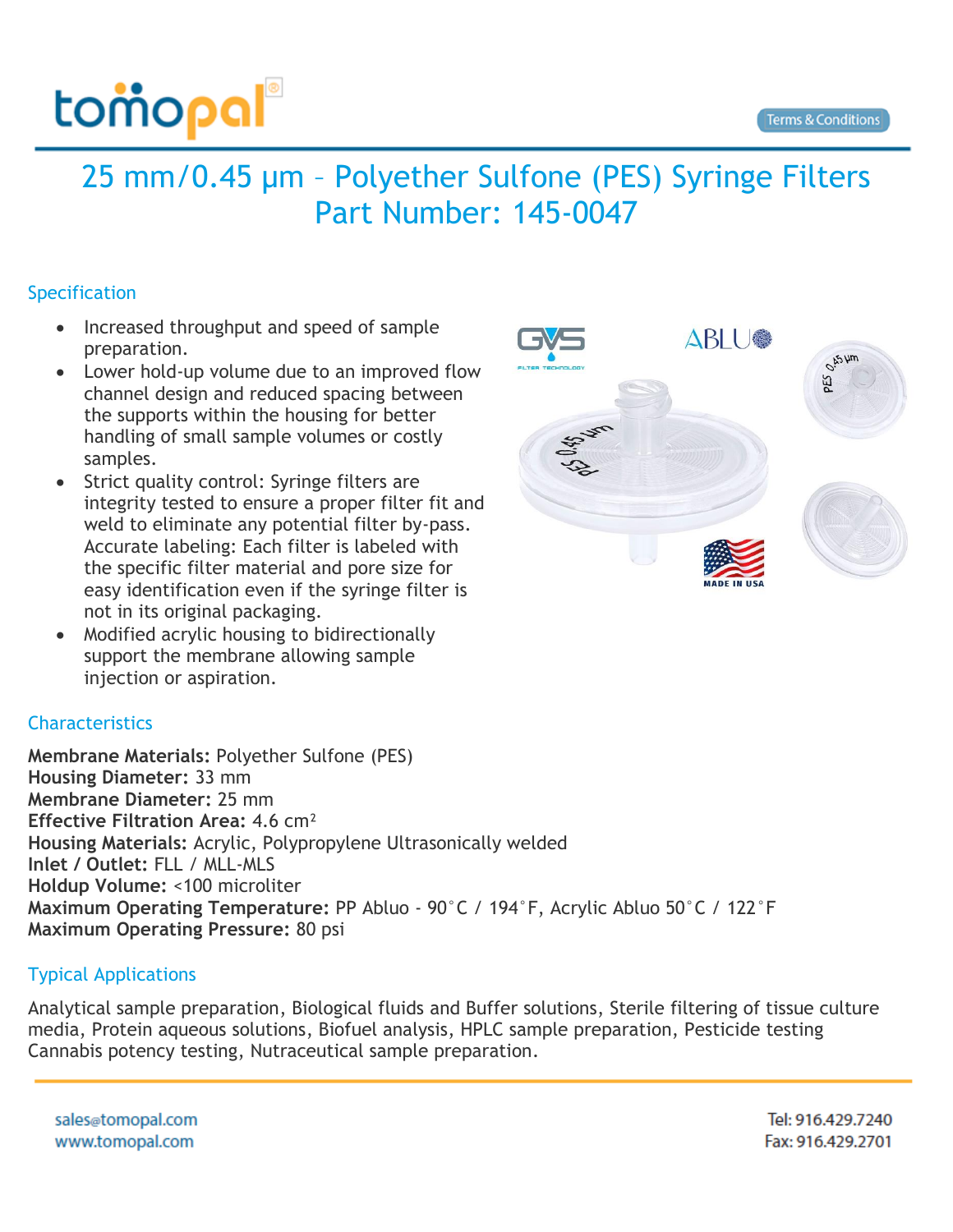

## 25 mm/0.45 µm – Polyether Sulfone (PES) Syringe Filters Part Number: 145-0047

## Specification

- Increased throughput and speed of sample preparation.
- Lower hold-up volume due to an improved flow channel design and reduced spacing between the supports within the housing for better handling of small sample volumes or costly samples.
- Strict quality control: Syringe filters are integrity tested to ensure a proper filter fit and weld to eliminate any potential filter by-pass. Accurate labeling: Each filter is labeled with the specific filter material and pore size for easy identification even if the syringe filter is not in its original packaging.
- Modified acrylic housing to bidirectionally support the membrane allowing sample injection or aspiration.



## **Characteristics**

**Membrane Materials:** Polyether Sulfone (PES) **Housing Diameter:** 33 mm **Membrane Diameter:** 25 mm **Effective Filtration Area:** 4.6 cm² **Housing Materials:** Acrylic, Polypropylene Ultrasonically welded **Inlet / Outlet:** FLL / MLL-MLS **Holdup Volume:** <100 microliter **Maximum Operating Temperature:** PP Abluo - 90°C / 194°F, Acrylic Abluo 50°C / 122°F **Maximum Operating Pressure:** 80 psi

## Typical Applications

Analytical sample preparation, Biological fluids and Buffer solutions, Sterile filtering of tissue culture media, Protein aqueous solutions, Biofuel analysis, HPLC sample preparation, Pesticide testing Cannabis potency testing, Nutraceutical sample preparation.

sales@tomopal.com www.tomopal.com

Tel: 916.429.7240 Fax: 916.429.2701